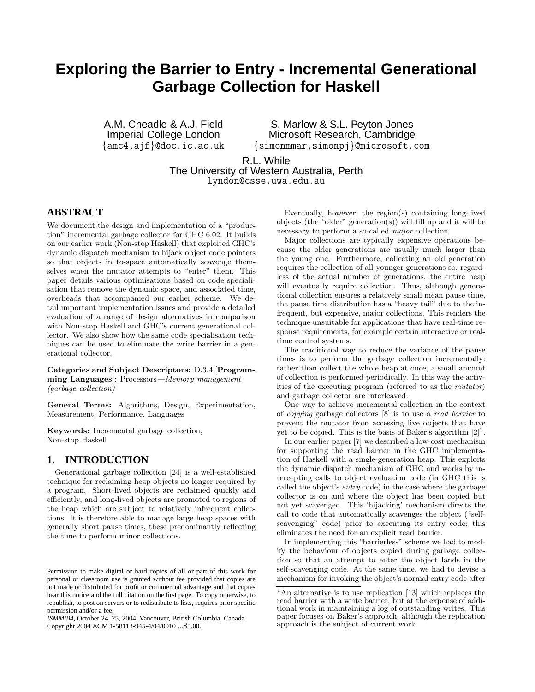# **Exploring the Barrier to Entry - Incremental Generational Garbage Collection for Haskell**

A.M. Cheadle & A.J. Field Imperial College London {amc4,ajf}@doc.ic.ac.uk

S. Marlow & S.L. Peyton Jones Microsoft Research, Cambridge {simonmmar,simonpj}@microsoft.com

R.L. While

The University of Western Australia, Perth

lyndon@csse.uwa.edu.au

# **ABSTRACT**

We document the design and implementation of a "production" incremental garbage collector for GHC 6.02. It builds on our earlier work (Non-stop Haskell) that exploited GHC's dynamic dispatch mechanism to hijack object code pointers so that objects in to-space automatically scavenge themselves when the mutator attempts to "enter" them. This paper details various optimisations based on code specialisation that remove the dynamic space, and associated time, overheads that accompanied our earlier scheme. We detail important implementation issues and provide a detailed evaluation of a range of design alternatives in comparison with Non-stop Haskell and GHC's current generational collector. We also show how the same code specialisation techniques can be used to eliminate the write barrier in a generational collector.

Categories and Subject Descriptors: D.3.4 [Programming Languages]: Processors—Memory management (garbage collection)

General Terms: Algorithms, Design, Experimentation, Measurement, Performance, Languages

Keywords: Incremental garbage collection, Non-stop Haskell

# **1. INTRODUCTION**

Generational garbage collection [24] is a well-established technique for reclaiming heap objects no longer required by a program. Short-lived objects are reclaimed quickly and efficiently, and long-lived objects are promoted to regions of the heap which are subject to relatively infrequent collections. It is therefore able to manage large heap spaces with generally short pause times, these predominantly reflecting the time to perform minor collections.

Eventually, however, the region(s) containing long-lived objects (the "older" generation(s)) will fill up and it will be necessary to perform a so-called major collection.

Major collections are typically expensive operations because the older generations are usually much larger than the young one. Furthermore, collecting an old generation requires the collection of all younger generations so, regardless of the actual number of generations, the entire heap will eventually require collection. Thus, although generational collection ensures a relatively small mean pause time, the pause time distribution has a "heavy tail" due to the infrequent, but expensive, major collections. This renders the technique unsuitable for applications that have real-time response requirements, for example certain interactive or realtime control systems.

The traditional way to reduce the variance of the pause times is to perform the garbage collection incrementally: rather than collect the whole heap at once, a small amount of collection is performed periodically. In this way the activities of the executing program (referred to as the mutator) and garbage collector are interleaved.

One way to achieve incremental collection in the context of copying garbage collectors [8] is to use a read barrier to prevent the mutator from accessing live objects that have yet to be copied. This is the basis of Baker's algorithm  $[2]^1$ .

In our earlier paper [7] we described a low-cost mechanism for supporting the read barrier in the GHC implementation of Haskell with a single-generation heap. This exploits the dynamic dispatch mechanism of GHC and works by intercepting calls to object evaluation code (in GHC this is called the object's entry code) in the case where the garbage collector is on and where the object has been copied but not yet scavenged. This 'hijacking' mechanism directs the call to code that automatically scavenges the object ("selfscavenging" code) prior to executing its entry code; this eliminates the need for an explicit read barrier.

In implementing this "barrierless" scheme we had to modify the behaviour of objects copied during garbage collection so that an attempt to enter the object lands in the self-scavenging code. At the same time, we had to devise a mechanism for invoking the object's normal entry code after

Permission to make digital or hard copies of all or part of this work for personal or classroom use is granted without fee provided that copies are not made or distributed for profit or commercial advantage and that copies bear this notice and the full citation on the first page. To copy otherwise, to republish, to post on servers or to redistribute to lists, requires prior specific permission and/or a fee.

*ISMM'04,* October 24–25, 2004, Vancouver, British Columbia, Canada. Copyright 2004 ACM 1-58113-945-4/04/0010 ...\$5.00.

<sup>&</sup>lt;sup>1</sup>An alternative is to use replication [13] which replaces the read barrier with a write barrier, but at the expense of additional work in maintaining a log of outstanding writes. This paper focuses on Baker's approach, although the replication approach is the subject of current work.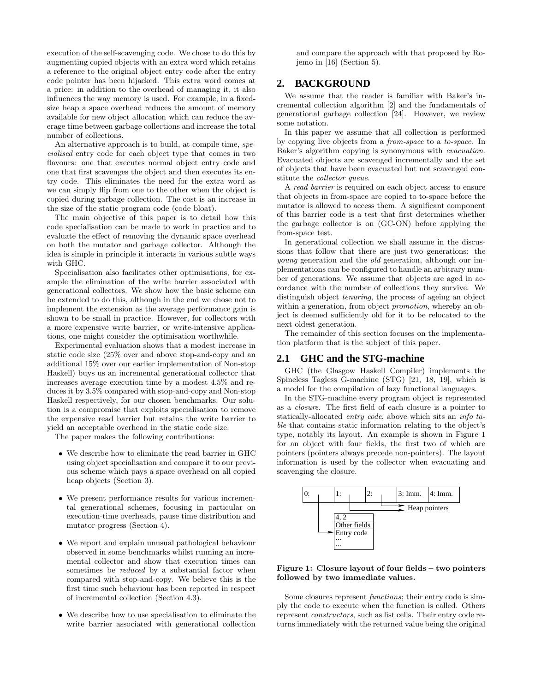execution of the self-scavenging code. We chose to do this by augmenting copied objects with an extra word which retains a reference to the original object entry code after the entry code pointer has been hijacked. This extra word comes at a price: in addition to the overhead of managing it, it also influences the way memory is used. For example, in a fixedsize heap a space overhead reduces the amount of memory available for new object allocation which can reduce the average time between garbage collections and increase the total number of collections.

An alternative approach is to build, at compile time, specialised entry code for each object type that comes in two flavours: one that executes normal object entry code and one that first scavenges the object and then executes its entry code. This eliminates the need for the extra word as we can simply flip from one to the other when the object is copied during garbage collection. The cost is an increase in the size of the static program code (code bloat).

The main objective of this paper is to detail how this code specialisation can be made to work in practice and to evaluate the effect of removing the dynamic space overhead on both the mutator and garbage collector. Although the idea is simple in principle it interacts in various subtle ways with GHC.

Specialisation also facilitates other optimisations, for example the elimination of the write barrier associated with generational collectors. We show how the basic scheme can be extended to do this, although in the end we chose not to implement the extension as the average performance gain is shown to be small in practice. However, for collectors with a more expensive write barrier, or write-intensive applications, one might consider the optimisation worthwhile.

Experimental evaluation shows that a modest increase in static code size (25% over and above stop-and-copy and an additional 15% over our earlier implementation of Non-stop Haskell) buys us an incremental generational collector that increases average execution time by a modest 4.5% and reduces it by 3.5% compared with stop-and-copy and Non-stop Haskell respectively, for our chosen benchmarks. Our solution is a compromise that exploits specialisation to remove the expensive read barrier but retains the write barrier to yield an acceptable overhead in the static code size.

The paper makes the following contributions:

- We describe how to eliminate the read barrier in GHC using object specialisation and compare it to our previous scheme which pays a space overhead on all copied heap objects (Section 3).
- We present performance results for various incremental generational schemes, focusing in particular on execution-time overheads, pause time distribution and mutator progress (Section 4).
- We report and explain unusual pathological behaviour observed in some benchmarks whilst running an incremental collector and show that execution times can sometimes be reduced by a substantial factor when compared with stop-and-copy. We believe this is the first time such behaviour has been reported in respect of incremental collection (Section 4.3).
- We describe how to use specialisation to eliminate the write barrier associated with generational collection

and compare the approach with that proposed by Rojemo in [16] (Section 5).

# **2. BACKGROUND**

We assume that the reader is familiar with Baker's incremental collection algorithm [2] and the fundamentals of generational garbage collection [24]. However, we review some notation.

In this paper we assume that all collection is performed by copying live objects from a from-space to a to-space. In Baker's algorithm copying is synonymous with evacuation. Evacuated objects are scavenged incrementally and the set of objects that have been evacuated but not scavenged constitute the collector queue.

A read barrier is required on each object access to ensure that objects in from-space are copied to to-space before the mutator is allowed to access them. A significant component of this barrier code is a test that first determines whether the garbage collector is on (GC-ON) before applying the from-space test.

In generational collection we shall assume in the discussions that follow that there are just two generations: the young generation and the old generation, although our implementations can be configured to handle an arbitrary number of generations. We assume that objects are aged in accordance with the number of collections they survive. We distinguish object tenuring, the process of ageing an object within a generation, from object *promotion*, whereby an object is deemed sufficiently old for it to be relocated to the next oldest generation.

The remainder of this section focuses on the implementation platform that is the subject of this paper.

#### **2.1 GHC and the STG-machine**

GHC (the Glasgow Haskell Compiler) implements the Spineless Tagless G-machine (STG) [21, 18, 19], which is a model for the compilation of lazy functional languages.

In the STG-machine every program object is represented as a closure. The first field of each closure is a pointer to statically-allocated entry code, above which sits an info table that contains static information relating to the object's type, notably its layout. An example is shown in Figure 1 for an object with four fields, the first two of which are pointers (pointers always precede non-pointers). The layout information is used by the collector when evacuating and scavenging the closure.



Figure 1: Closure layout of four fields – two pointers followed by two immediate values.

Some closures represent functions; their entry code is simply the code to execute when the function is called. Others represent constructors, such as list cells. Their entry code returns immediately with the returned value being the original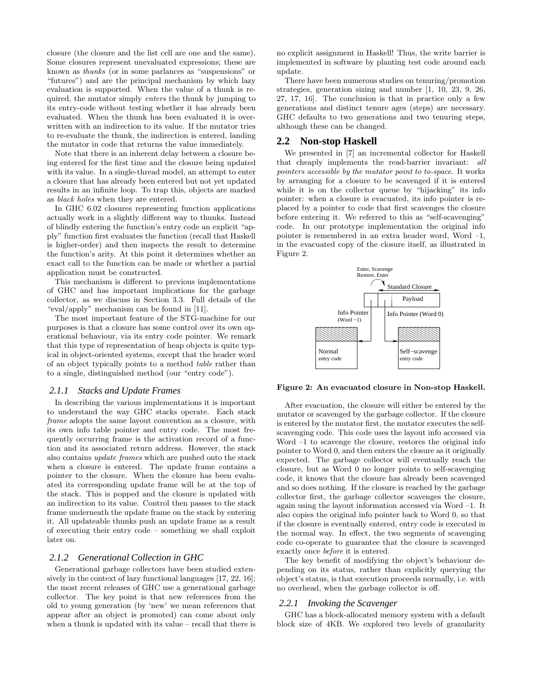closure (the closure and the list cell are one and the same). Some closures represent unevaluated expressions; these are known as thunks (or in some parlances as "suspensions" or "futures") and are the principal mechanism by which lazy evaluation is supported. When the value of a thunk is required, the mutator simply enters the thunk by jumping to its entry-code without testing whether it has already been evaluated. When the thunk has been evaluated it is overwritten with an indirection to its value. If the mutator tries to re-evaluate the thunk, the indirection is entered, landing the mutator in code that returns the value immediately.

Note that there is an inherent delay between a closure being entered for the first time and the closure being updated with its value. In a single-thread model, an attempt to enter a closure that has already been entered but not yet updated results in an infinite loop. To trap this, objects are marked as black holes when they are entered.

In GHC 6.02 closures representing function applications actually work in a slightly different way to thunks. Instead of blindly entering the function's entry code an explicit "apply" function first evaluates the function (recall that Haskell is higher-order) and then inspects the result to determine the function's arity. At this point it determines whether an exact call to the function can be made or whether a partial application must be constructed.

This mechanism is different to previous implementations of GHC and has important implications for the garbage collector, as we discuss in Section 3.3. Full details of the "eval/apply" mechanism can be found in [11].

The most important feature of the STG-machine for our purposes is that a closure has some control over its own operational behaviour, via its entry code pointer. We remark that this type of representation of heap objects is quite typical in object-oriented systems, except that the header word of an object typically points to a method table rather than to a single, distinguished method (our "entry code").

#### *2.1.1 Stacks and Update Frames*

In describing the various implementations it is important to understand the way GHC stacks operate. Each stack frame adopts the same layout convention as a closure, with its own info table pointer and entry code. The most frequently occurring frame is the activation record of a function and its associated return address. However, the stack also contains update frames which are pushed onto the stack when a closure is entered. The update frame contains a pointer to the closure. When the closure has been evaluated its corresponding update frame will be at the top of the stack. This is popped and the closure is updated with an indirection to its value. Control then passes to the stack frame underneath the update frame on the stack by entering it. All updateable thunks push an update frame as a result of executing their entry code – something we shall exploit later on.

#### *2.1.2 Generational Collection in GHC*

Generational garbage collectors have been studied extensively in the context of lazy functional languages [17, 22, 16]; the most recent releases of GHC use a generational garbage collector. The key point is that new references from the old to young generation (by 'new' we mean references that appear after an object is promoted) can come about only when a thunk is updated with its value – recall that there is no explicit assignment in Haskell! Thus, the write barrier is implemented in software by planting test code around each update.

There have been numerous studies on tenuring/promotion strategies, generation sizing and number [1, 10, 23, 9, 26, 27, 17, 16]. The conclusion is that in practice only a few generations and distinct tenure ages (steps) are necessary. GHC defaults to two generations and two tenuring steps, although these can be changed.

#### **2.2 Non-stop Haskell**

We presented in [7] an incremental collector for Haskell that cheaply implements the read-barrier invariant: all pointers accessible by the mutator point to to-space. It works by arranging for a closure to be scavenged if it is entered while it is on the collector queue by "hijacking" its info pointer: when a closure is evacuated, its info pointer is replaced by a pointer to code that first scavenges the closure before entering it. We referred to this as "self-scavenging" code. In our prototype implementation the original info pointer is remembered in an extra header word, Word –1, in the evacuated copy of the closure itself, as illustrated in Figure 2.



Figure 2: An evacuated closure in Non-stop Haskell.

After evacuation, the closure will either be entered by the mutator or scavenged by the garbage collector. If the closure is entered by the mutator first, the mutator executes the selfscavenging code. This code uses the layout info accessed via Word  $-1$  to scavenge the closure, restores the original info pointer to Word 0, and then enters the closure as it originally expected. The garbage collector will eventually reach the closure, but as Word 0 no longer points to self-scavenging code, it knows that the closure has already been scavenged and so does nothing. If the closure is reached by the garbage collector first, the garbage collector scavenges the closure, again using the layout information accessed via Word –1. It also copies the original info pointer back to Word 0, so that if the closure is eventually entered, entry code is executed in the normal way. In effect, the two segments of scavenging code co-operate to guarantee that the closure is scavenged exactly once before it is entered.

The key benefit of modifying the object's behaviour depending on its status, rather than explicitly querying the object's status, is that execution proceeds normally, i.e. with no overhead, when the garbage collector is off.

#### *2.2.1 Invoking the Scavenger*

GHC has a block-allocated memory system with a default block size of 4KB. We explored two levels of granularity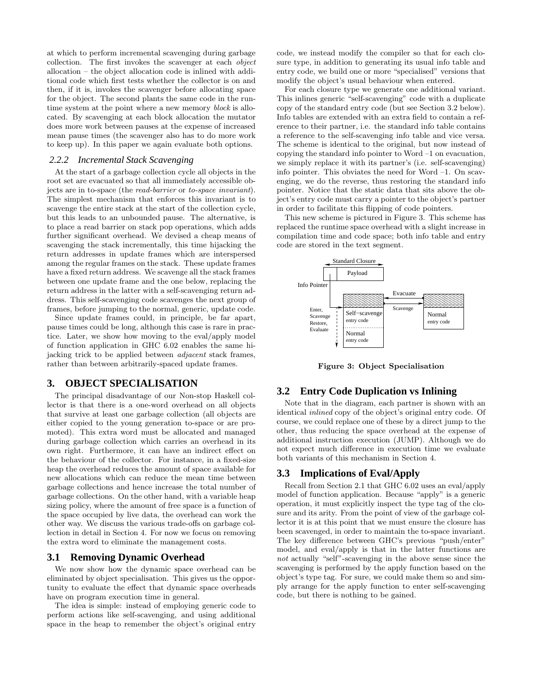at which to perform incremental scavenging during garbage collection. The first invokes the scavenger at each object allocation – the object allocation code is inlined with additional code which first tests whether the collector is on and then, if it is, invokes the scavenger before allocating space for the object. The second plants the same code in the runtime system at the point where a new memory *block* is allocated. By scavenging at each block allocation the mutator does more work between pauses at the expense of increased mean pause times (the scavenger also has to do more work to keep up). In this paper we again evaluate both options.

#### *2.2.2 Incremental Stack Scavenging*

At the start of a garbage collection cycle all objects in the root set are evacuated so that all immediately accessible objects are in to-space (the read-barrier or to-space invariant). The simplest mechanism that enforces this invariant is to scavenge the entire stack at the start of the collection cycle, but this leads to an unbounded pause. The alternative, is to place a read barrier on stack pop operations, which adds further significant overhead. We devised a cheap means of scavenging the stack incrementally, this time hijacking the return addresses in update frames which are interspersed among the regular frames on the stack. These update frames have a fixed return address. We scavenge all the stack frames between one update frame and the one below, replacing the return address in the latter with a self-scavenging return address. This self-scavenging code scavenges the next group of frames, before jumping to the normal, generic, update code.

Since update frames could, in principle, be far apart, pause times could be long, although this case is rare in practice. Later, we show how moving to the eval/apply model of function application in GHC 6.02 enables the same hijacking trick to be applied between adjacent stack frames, rather than between arbitrarily-spaced update frames.

# **3. OBJECT SPECIALISATION**

The principal disadvantage of our Non-stop Haskell collector is that there is a one-word overhead on all objects that survive at least one garbage collection (all objects are either copied to the young generation to-space or are promoted). This extra word must be allocated and managed during garbage collection which carries an overhead in its own right. Furthermore, it can have an indirect effect on the behaviour of the collector. For instance, in a fixed-size heap the overhead reduces the amount of space available for new allocations which can reduce the mean time between garbage collections and hence increase the total number of garbage collections. On the other hand, with a variable heap sizing policy, where the amount of free space is a function of the space occupied by live data, the overhead can work the other way. We discuss the various trade-offs on garbage collection in detail in Section 4. For now we focus on removing the extra word to eliminate the management costs.

#### **3.1 Removing Dynamic Overhead**

We now show how the dynamic space overhead can be eliminated by object specialisation. This gives us the opportunity to evaluate the effect that dynamic space overheads have on program execution time in general.

The idea is simple: instead of employing generic code to perform actions like self-scavenging, and using additional space in the heap to remember the object's original entry

code, we instead modify the compiler so that for each closure type, in addition to generating its usual info table and entry code, we build one or more "specialised" versions that modify the object's usual behaviour when entered.

For each closure type we generate one additional variant. This inlines generic "self-scavenging" code with a duplicate copy of the standard entry code (but see Section 3.2 below). Info tables are extended with an extra field to contain a reference to their partner, i.e. the standard info table contains a reference to the self-scavenging info table and vice versa. The scheme is identical to the original, but now instead of copying the standard info pointer to Word –1 on evacuation, we simply replace it with its partner's (i.e. self-scavenging) info pointer. This obviates the need for Word –1. On scavenging, we do the reverse, thus restoring the standard info pointer. Notice that the static data that sits above the object's entry code must carry a pointer to the object's partner in order to facilitate this flipping of code pointers.

This new scheme is pictured in Figure 3. This scheme has replaced the runtime space overhead with a slight increase in compilation time and code space; both info table and entry code are stored in the text segment.



Figure 3: Object Specialisation

#### **3.2 Entry Code Duplication vs Inlining**

Note that in the diagram, each partner is shown with an identical inlined copy of the object's original entry code. Of course, we could replace one of these by a direct jump to the other, thus reducing the space overhead at the expense of additional instruction execution (JUMP). Although we do not expect much difference in execution time we evaluate both variants of this mechanism in Section 4.

#### **3.3 Implications of Eval/Apply**

Recall from Section 2.1 that GHC 6.02 uses an eval/apply model of function application. Because "apply" is a generic operation, it must explicitly inspect the type tag of the closure and its arity. From the point of view of the garbage collector it is at this point that we must ensure the closure has been scavenged, in order to maintain the to-space invariant. The key difference between GHC's previous "push/enter" model, and eval/apply is that in the latter functions are not actually "self"-scavenging in the above sense since the scavenging is performed by the apply function based on the object's type tag. For sure, we could make them so and simply arrange for the apply function to enter self-scavenging code, but there is nothing to be gained.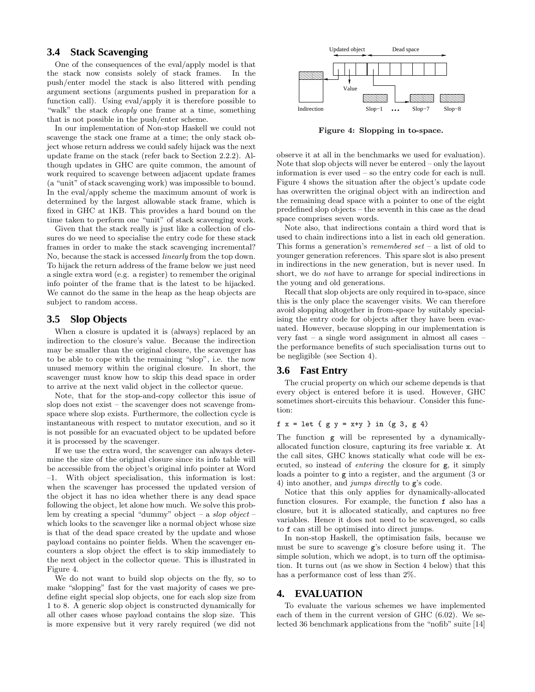# **3.4 Stack Scavenging**

One of the consequences of the eval/apply model is that the stack now consists solely of stack frames. In the push/enter model the stack is also littered with pending argument sections (arguments pushed in preparation for a function call). Using eval/apply it is therefore possible to "walk" the stack *cheaply* one frame at a time, something that is not possible in the push/enter scheme.

In our implementation of Non-stop Haskell we could not scavenge the stack one frame at a time; the only stack object whose return address we could safely hijack was the next update frame on the stack (refer back to Section 2.2.2). Although updates in GHC are quite common, the amount of work required to scavenge between adjacent update frames (a "unit" of stack scavenging work) was impossible to bound. In the eval/apply scheme the maximum amount of work is determined by the largest allowable stack frame, which is fixed in GHC at 1KB. This provides a hard bound on the time taken to perform one "unit" of stack scavenging work.

Given that the stack really is just like a collection of closures do we need to specialise the entry code for these stack frames in order to make the stack scavenging incremental? No, because the stack is accessed linearly from the top down. To hijack the return address of the frame below we just need a single extra word (e.g. a register) to remember the original info pointer of the frame that is the latest to be hijacked. We cannot do the same in the heap as the heap objects are subject to random access.

#### **3.5 Slop Objects**

When a closure is updated it is (always) replaced by an indirection to the closure's value. Because the indirection may be smaller than the original closure, the scavenger has to be able to cope with the remaining "slop", i.e. the now unused memory within the original closure. In short, the scavenger must know how to skip this dead space in order to arrive at the next valid object in the collector queue.

Note, that for the stop-and-copy collector this issue of slop does not exist – the scavenger does not scavenge fromspace where slop exists. Furthermore, the collection cycle is instantaneous with respect to mutator execution, and so it is not possible for an evacuated object to be updated before it is processed by the scavenger.

If we use the extra word, the scavenger can always determine the size of the original closure since its info table will be accessible from the object's original info pointer at Word –1. With object specialisation, this information is lost: when the scavenger has processed the updated version of the object it has no idea whether there is any dead space following the object, let alone how much. We solve this problem by creating a special "dummy" object – a slop object – which looks to the scavenger like a normal object whose size is that of the dead space created by the update and whose payload contains no pointer fields. When the scavenger encounters a slop object the effect is to skip immediately to the next object in the collector queue. This is illustrated in Figure 4.

We do not want to build slop objects on the fly, so to make "slopping" fast for the vast majority of cases we predefine eight special slop objects, one for each slop size from 1 to 8. A generic slop object is constructed dynamically for all other cases whose payload contains the slop size. This is more expensive but it very rarely required (we did not



Figure 4: Slopping in to-space.

observe it at all in the benchmarks we used for evaluation). Note that slop objects will never be entered – only the layout information is ever used – so the entry code for each is null. Figure 4 shows the situation after the object's update code has overwritten the original object with an indirection and the remaining dead space with a pointer to one of the eight predefined slop objects – the seventh in this case as the dead space comprises seven words.

Note also, that indirections contain a third word that is used to chain indirections into a list in each old generation. This forms a generation's *remembered set* – a list of old to younger generation references. This spare slot is also present in indirections in the new generation, but is never used. In short, we do not have to arrange for special indirections in the young and old generations.

Recall that slop objects are only required in to-space, since this is the only place the scavenger visits. We can therefore avoid slopping altogether in from-space by suitably specialising the entry code for objects after they have been evacuated. However, because slopping in our implementation is very fast – a single word assignment in almost all cases – the performance benefits of such specialisation turns out to be negligible (see Section 4).

#### **3.6 Fast Entry**

The crucial property on which our scheme depends is that every object is entered before it is used. However, GHC sometimes short-circuits this behaviour. Consider this function:

#### f  $x = 1$ et {  $g y = x+y$  } in ( $g 3, g 4$ )

The function g will be represented by a dynamicallyallocated function closure, capturing its free variable x. At the call sites, GHC knows statically what code will be executed, so instead of entering the closure for g, it simply loads a pointer to g into a register, and the argument (3 or 4) into another, and jumps directly to g's code.

Notice that this only applies for dynamically-allocated function closures. For example, the function f also has a closure, but it is allocated statically, and captures no free variables. Hence it does not need to be scavenged, so calls to f can still be optimised into direct jumps.

In non-stop Haskell, the optimisation fails, because we must be sure to scavenge g's closure before using it. The simple solution, which we adopt, is to turn off the optimisation. It turns out (as we show in Section 4 below) that this has a performance cost of less than 2%.

### **4. EVALUATION**

To evaluate the various schemes we have implemented each of them in the current version of GHC (6.02). We selected 36 benchmark applications from the "nofib" suite [14]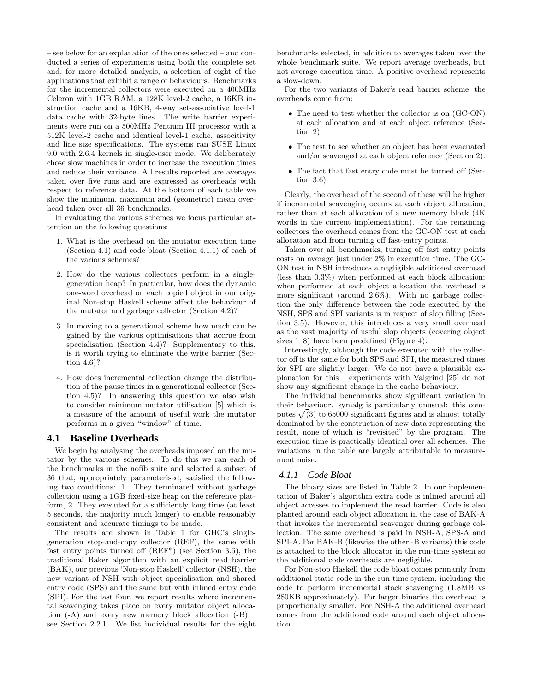– see below for an explanation of the ones selected – and conducted a series of experiments using both the complete set and, for more detailed analysis, a selection of eight of the applications that exhibit a range of behaviours. Benchmarks for the incremental collectors were executed on a 400MHz Celeron with 1GB RAM, a 128K level-2 cache, a 16KB instruction cache and a 16KB, 4-way set-associative level-1 data cache with 32-byte lines. The write barrier experiments were run on a 500MHz Pentium III processor with a 512K level-2 cache and identical level-1 cache, associtivity and line size specifications. The systems ran SUSE Linux 9.0 with 2.6.4 kernels in single-user mode. We deliberately chose slow machines in order to increase the execution times and reduce their variance. All results reported are averages taken over five runs and are expressed as overheads with respect to reference data. At the bottom of each table we show the minimum, maximum and (geometric) mean overhead taken over all 36 benchmarks.

In evaluating the various schemes we focus particular attention on the following questions:

- 1. What is the overhead on the mutator execution time (Section 4.1) and code bloat (Section 4.1.1) of each of the various schemes?
- 2. How do the various collectors perform in a singlegeneration heap? In particular, how does the dynamic one-word overhead on each copied object in our original Non-stop Haskell scheme affect the behaviour of the mutator and garbage collector (Section 4.2)?
- 3. In moving to a generational scheme how much can be gained by the various optimisations that accrue from specialisation (Section 4.4)? Supplementary to this, is it worth trying to eliminate the write barrier (Section 4.6)?
- 4. How does incremental collection change the distribution of the pause times in a generational collector (Section 4.5)? In answering this question we also wish to consider minimum mutator utilisation [5] which is a measure of the amount of useful work the mutator performs in a given "window" of time.

#### **4.1 Baseline Overheads**

We begin by analysing the overheads imposed on the mutator by the various schemes. To do this we ran each of the benchmarks in the nofib suite and selected a subset of 36 that, appropriately parameterised, satisfied the following two conditions: 1. They terminated without garbage collection using a 1GB fixed-size heap on the reference platform, 2. They executed for a sufficiently long time (at least 5 seconds, the majority much longer) to enable reasonably consistent and accurate timings to be made.

The results are shown in Table 1 for GHC's singlegeneration stop-and-copy collector (REF), the same with fast entry points turned off (REF\*) (see Section 3.6), the traditional Baker algorithm with an explicit read barrier (BAK), our previous 'Non-stop Haskell' collector (NSH), the new variant of NSH with object specialisation and shared entry code (SPS) and the same but with inlined entry code (SPI). For the last four, we report results where incremental scavenging takes place on every mutator object allocation  $(-A)$  and every new memory block allocation  $(-B)$ see Section 2.2.1. We list individual results for the eight benchmarks selected, in addition to averages taken over the whole benchmark suite. We report average overheads, but not average execution time. A positive overhead represents a slow-down.

For the two variants of Baker's read barrier scheme, the overheads come from:

- The need to test whether the collector is on  $(GC-ON)$ at each allocation and at each object reference (Section 2).
- The test to see whether an object has been evacuated and/or scavenged at each object reference (Section 2).
- The fact that fast entry code must be turned off (Section 3.6)

Clearly, the overhead of the second of these will be higher if incremental scavenging occurs at each object allocation, rather than at each allocation of a new memory block (4K words in the current implementation). For the remaining collectors the overhead comes from the GC-ON test at each allocation and from turning off fast-entry points.

Taken over all benchmarks, turning off fast entry points costs on average just under 2% in execution time. The GC-ON test in NSH introduces a negligible additional overhead (less than 0.3%) when performed at each block allocation; when performed at each object allocation the overhead is more significant (around 2.6%). With no garbage collection the only difference between the code executed by the NSH, SPS and SPI variants is in respect of slop filling (Section 3.5). However, this introduces a very small overhead as the vast majority of useful slop objects (covering object sizes 1–8) have been predefined (Figure 4).

Interestingly, although the code executed with the collector off is the same for both SPS and SPI, the measured times for SPI are slightly larger. We do not have a plausible explanation for this – experiments with Valgrind [25] do not show any significant change in the cache behaviour.

The individual benchmarks show significant variation in their behaviour. symalg is particularly unusual: this computes  $\sqrt{3}$  to 65000 significant figures and is almost totally dominated by the construction of new data representing the result, none of which is "revisited" by the program. The execution time is practically identical over all schemes. The variations in the table are largely attributable to measurement noise.

#### *4.1.1 Code Bloat*

The binary sizes are listed in Table 2. In our implementation of Baker's algorithm extra code is inlined around all object accesses to implement the read barrier. Code is also planted around each object allocation in the case of BAK-A that invokes the incremental scavenger during garbage collection. The same overhead is paid in NSH-A, SPS-A and SPI-A. For BAK-B (likewise the other -B variants) this code is attached to the block allocator in the run-time system so the additional code overheads are negligible.

For Non-stop Haskell the code bloat comes primarily from additional static code in the run-time system, including the code to perform incremental stack scavenging (1.8MB vs 280KB approximately). For larger binaries the overhead is proportionally smaller. For NSH-A the additional overhead comes from the additional code around each object allocation.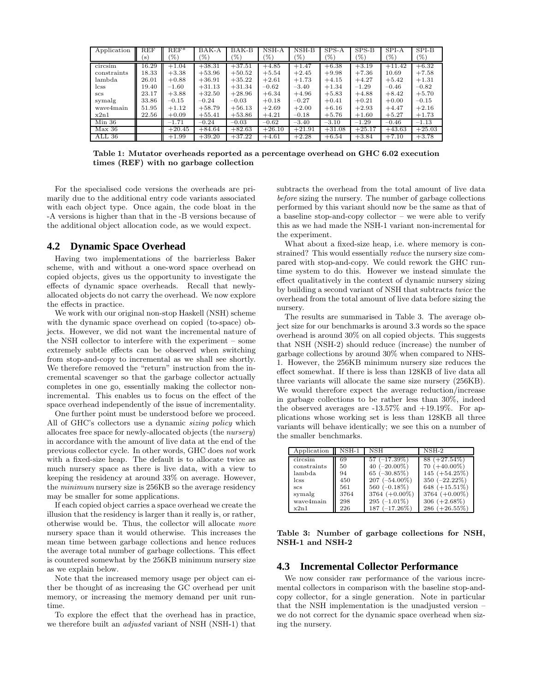| Application | REF   | $REF^*$  | $BAK-A$  | BAK-B    | NSH-A    | $\overline{\text{NSH-B}}$ | $SPS-A$  | $SPS-B$  | SPI-A           | SPI-B    |
|-------------|-------|----------|----------|----------|----------|---------------------------|----------|----------|-----------------|----------|
|             | (s)   | $(\%)$   | (%)      | (%)      | (%)      | (%)                       | (%)      | (%)      | $\mathscr{C}_0$ | (%)      |
| circsim     | 16.29 | $+1.04$  | $+38.31$ | $+37.51$ | $+4.85$  | $+1.47$                   | $+6.38$  | $+3.19$  | $+11.42$        | $+6.32$  |
| constraints | 18.33 | $+3.38$  | $+53.96$ | $+50.52$ | $+5.54$  | $+2.45$                   | $+9.98$  | $+7.36$  | 10.69           | $+7.58$  |
| lambda      | 26.01 | $+0.88$  | $+36.91$ | $+35.22$ | $+2.61$  | $+1.73$                   | $+4.15$  | $+4.27$  | $+5.42$         | $+1.31$  |
| lcss        | 19.40 | $-1.60$  | $+31.13$ | $+31.34$ | $-0.62$  | $-3.40$                   | $+1.34$  | $-1.29$  | $-0.46$         | $-0.82$  |
| <b>SCS</b>  | 23.17 | $+3.88$  | $+32.50$ | $+28.96$ | $+6.34$  | $+4.96$                   | $+5.83$  | $+4.88$  | $+8.42$         | $+5.70$  |
| symalg      | 33.86 | $-0.15$  | $-0.24$  | $-0.03$  | $+0.18$  | $-0.27$                   | $+0.41$  | $+0.21$  | $+0.00$         | $-0.15$  |
| waye4main   | 51.95 | $+1.12$  | $+58.79$ | $+56.13$ | $+2.69$  | $+2.00$                   | $+6.16$  | $+2.93$  | $+4.47$         | $+2.16$  |
| x2n1        | 22.56 | $+0.09$  | $+55.41$ | $+53.86$ | $+4.21$  | $-0.18$                   | $+5.76$  | $+1.60$  | $+5.27$         | $+1.73$  |
| $Min\ 36$   |       | $-1.71$  | $-0.24$  | $-0.03$  | $-0.62$  | $-3.40$                   | $-3.10$  | $-1.29$  | $-0.46$         | $-1.13$  |
| Max 36      |       | $+20.45$ | $+84.64$ | $+82.63$ | $+26.10$ | $+21.91$                  | $+31.08$ | $+25.17$ | $+43.63$        | $+25.03$ |
| ALL 36      |       | $+1.99$  | $+39.20$ | $+37.22$ | $+4.61$  | $+2.28$                   | $+6.54$  | $+3.84$  | $+7.10$         | $+3.78$  |

Table 1: Mutator overheads reported as a percentage overhead on GHC 6.02 execution times (REF) with no garbage collection

For the specialised code versions the overheads are primarily due to the additional entry code variants associated with each object type. Once again, the code bloat in the -A versions is higher than that in the -B versions because of the additional object allocation code, as we would expect.

#### **Dynamic Space Overhead** 4.2

Having two implementations of the barrierless Baker scheme, with and without a one-word space overhead on copied objects, gives us the opportunity to investigate the effects of dynamic space overheads. Recall that newlyallocated objects do not carry the overhead. We now explore the effects in practice.

We work with our original non-stop Haskell (NSH) scheme with the dynamic space overhead on copied (to-space) objects. However, we did not want the incremental nature of the NSH collector to interfere with the experiment - some extremely subtle effects can be observed when switching from stop-and-copy to incremental as we shall see shortly. We therefore removed the "return" instruction from the incremental scavenger so that the garbage collector actually completes in one go, essentially making the collector nonincremental. This enables us to focus on the effect of the space overhead independently of the issue of incrementality.

One further point must be understood before we proceed. All of GHC's collectors use a dynamic sizing policy which allocates free space for newly-allocated objects (the  $nursery$ ) in accordance with the amount of live data at the end of the previous collector cycle. In other words, GHC does not work with a fixed-size heap. The default is to allocate twice as much nursery space as there is live data, with a view to keeping the residency at around  $33\%$  on average. However, the *minimum* nursery size is 256KB so the average residency may be smaller for some applications.

If each copied object carries a space overhead we create the illusion that the residency is larger than it really is, or rather, otherwise would be. Thus, the collector will allocate more nursery space than it would otherwise. This increases the mean time between garbage collections and hence reduces the average total number of garbage collections. This effect is countered somewhat by the 256KB minimum nursery size as we explain below.

Note that the increased memory usage per object can either be thought of as increasing the GC overhead per unit memory, or increasing the memory demand per unit runtime.

To explore the effect that the overhead has in practice, we therefore built an *adjusted* variant of NSH (NSH-1) that subtracts the overhead from the total amount of live data before sizing the nursery. The number of garbage collections performed by this variant should now be the same as that of a baseline stop-and-copy collector  $-$  we were able to verify this as we had made the NSH-1 variant non-incremental for the experiment.

What about a fixed-size heap, i.e. where memory is constrained? This would essentially *reduce* the nursery size compared with stop-and-copy. We could rework the GHC runtime system to do this. However we instead simulate the effect qualitatively in the context of dynamic nursery sizing by building a second variant of NSH that subtracts twice the overhead from the total amount of live data before sizing the nursery.

The results are summarised in Table 3. The average object size for our benchmarks is around 3.3 words so the space overhead is around 30% on all copied objects. This suggests that NSH (NSH-2) should reduce (increase) the number of garbage collections by around 30% when compared to NHS-1. However, the 256KB minimum nursery size reduces the effect somewhat. If there is less than 128KB of live data all three variants will allocate the same size nursery (256KB). We would therefore expect the average reduction/increase in garbage collections to be rather less than  $30\%$ , indeed the observed averages are  $-13.57\%$  and  $+19.19\%$ . For applications whose working set is less than 128KB all three variants will behave identically; we see this on a number of the smaller benchmarks.

| Application | $\overline{\text{NSH-1}}$ | $\nabla$ SH               | NSH-2            |
|-------------|---------------------------|---------------------------|------------------|
| circsim     | 69                        | $\overline{57}$ (-17.39%) | $88 (+27.54\%)$  |
| constraints | 50                        | 40 $(-20.00\%)$           | $70 (+40.00\%)$  |
| lambda.     | 94                        | 65 $(-30.85\%)$           | 145 $(+54.25%)$  |
| <i>css</i>  | 450                       | $207 (-54.00\%)$          | $350 (-22.22\%)$ |
| <b>SCS</b>  | 561                       | 560 $(-0.18\%)$           | 648 $(+15.51\%)$ |
| symalg      | 3764                      | 3764 $(+0.00\%)$          | 3764 $(+0.00\%)$ |
| wave4main   | 298                       | $295(-1.01\%)$            | $306 (+2.68\%)$  |
| x2n1        | 226                       | $187 (-17.26\%)$          | 286 $(+26.55%)$  |

Table 3: Number of garbage collections for NSH, NSH-1 and NSH-2

#### **4.3** Incremental Collector Performance

We now consider raw performance of the various incremental collectors in comparison with the baseline stop-andcopy collector, for a single generation. Note in particular that the NSH implementation is the unadjusted version we do not correct for the dynamic space overhead when sizing the nursery.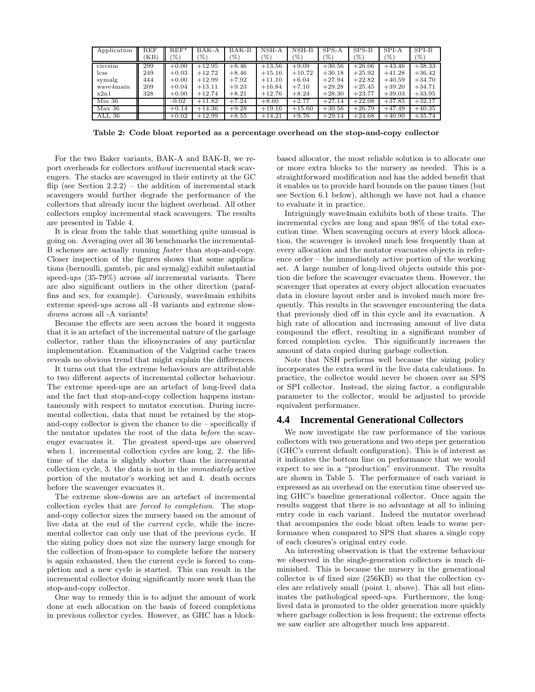| Application | $_{\rm REF}$ | $REF^*$ | $BAK-A$  | BAK-B   | NSH-A    | $NSH-B$  | $SPS-A$  | $SPS-B$  | SPI-A    | SPI-B         |
|-------------|--------------|---------|----------|---------|----------|----------|----------|----------|----------|---------------|
|             | [KB]         | '%)     | (%)      | $(\%)$  | $(\%)$   | (%)      | $(\%)$   | '%)      | $(\%)$   | $\frac{9}{6}$ |
| circsim     | 299          | $+0.00$ | $+12.95$ | $+8.46$ | $+13.56$ | $+9.09$  | $+30.56$ | $+26.06$ | $+43.46$ | $+38.33$      |
| lcss        | 249          | $+0.03$ | $+12.72$ | $+8.46$ | $+15.16$ | $+10.72$ | $+30.18$ | $+25.92$ | $+41.28$ | $+36.42$      |
| symalg      | 444          | $+0.00$ | $+12.99$ | $+7.92$ | $+11.10$ | $+6.04$  | $+27.94$ | $+22.82$ | $+40.59$ | $+34.70$      |
| wave4main   | 209          | $+0.04$ | $+13.11$ | $+9.23$ | $+16.84$ | $+7.10$  | $+29.28$ | $+25.45$ | $+39.20$ | $+34.71$      |
| x2n1        | 328          | $+0.00$ | $+12.74$ | $+8.21$ | $+12.76$ | $+8.24$  | $+28.30$ | $+23.77$ | $+39.03$ | $+33.95$      |
| Min 36      |              | $-0.02$ | $+11.82$ | $+7.24$ | $+8.60$  | $+2.77$  | $+27.14$ | $+22.08$ | $+37.85$ | $+32.17$      |
| Max 36      |              | $+0.14$ | $+14.36$ | $+9.28$ | $+19.16$ | $+15.60$ | $+30.56$ | $+26.79$ | $+47.49$ | $+40.35$      |
| ALL 36      |              | $+0.02$ | $+12.99$ | $+8.55$ | $+14.21$ | $+9.76$  | $+29.14$ | $+24.68$ | $+40.90$ | $+35.74$      |

Table 2: Code bloat reported as a percentage overhead on the stop-and-copy collector

For the two Baker variants, BAK-A and BAK-B, we report overheads for collectors without incremental stack scavengers. The stacks are scavenged in their entirety at the GC flip (see Section 2.2.2) – the addition of incremental stack scavengers would further degrade the performance of the collectors that already incur the highest overhead. All other collectors employ incremental stack scavengers. The results are presented in Table 4.

It is clear from the table that something quite unusual is going on. Averaging over all 36 benchmarks the incremental-B schemes are actually running faster than stop-and-copy. Closer inspection of the figures shows that some applications (bernoulli, gamteb, pic and symalg) exhibit substantial speed-ups  $(35-79\%)$  across all incremental variants. There are also significant outliers in the other direction (paraffins and scs, for example). Curiously, wave4main exhibits extreme speed- $ups$  across all  $-B$  variants and extreme slow $downs$  across all  $-A$  variants!

Because the effects are seen across the board it suggests that it is an artefact of the incremental nature of the garbage collector, rather than the idiosyncrasies of any particular implementation. Examination of the Valgrind cache traces reveals no obvious trend that might explain the differences.

It turns out that the extreme behaviours are attributable to two different aspects of incremental collector behaviour. The extreme speed-ups are an artefact of long-lived data and the fact that stop-and-copy collection happens instantaneously with respect to mutator execution. During incremental collection, data that must be retained by the stopand-copy collector is given the chance to die  $-$  specifically if the mutator updates the root of the data before the scavenger evacuates it. The greatest speed-ups are observed when 1. incremental collection cycles are long, 2. the lifetime of the data is slightly shorter than the incremental collection cycle, 3. the data is not in the *immediately* active portion of the mutator's working set and 4. death occurs before the scavenger evacuates it.

The extreme slow-downs are an artefact of incremental collection cycles that are *forced to completion*. The stopand-copy collector sizes the nursery based on the amount of live data at the end of the *current* cycle, while the incremental collector can only use that of the previous cycle. If the sizing policy does not size the nursery large enough for the collection of from-space to complete before the nursery is again exhausted, then the current cycle is forced to completion and a new cycle is started. This can result in the incremental collector doing significantly more work than the stop-and-copy collector.

One way to remedy this is to adjust the amount of work done at each allocation on the basis of forced completions in previous collector cycles. However, as GHC has a blockbased allocator, the most reliable solution is to allocate one or more extra blocks to the nursery as needed. This is a straightforward modification and has the added benefit that it enables us to provide hard bounds on the pause times (but see Section 6.1 below), although we have not had a chance to evaluate it in practice.

Intriguingly wave4main exhibits both of these traits. The incremental cycles are long and span 98% of the total execution time. When scavenging occurs at every block allocation, the scavenger is invoked much less frequently than at every allocation and the mutator evacuates objects in reference order  $-$  the immediately active portion of the working set. A large number of long-lived objects outside this portion die before the scavenger evacuates them. However, the scavenger that operates at every object allocation evacuates data in closure layout order and is invoked much more frequently. This results in the scavenger encountering the data that previously died off in this cycle and its evacuation. A high rate of allocation and increasing amount of live data compound the effect, resulting in a significant number of forced completion cycles. This significantly increases the amount of data copied during garbage collection.

Note that NSH performs well because the sizing policy incorporates the extra word in the live data calculations. In practice, the collector would never be chosen over an SPS or SPI collector. Instead, the sizing factor, a configurable parameter to the collector, would be adjusted to provide equivalent performance.

# **4.4 Incremental Generational Collectors**

We now investigate the raw performance of the various collectors with two generations and two steps per generation (GHC's current default configuration). This is of interest as it indicates the bottom line on performance that we would expect to see in a "production" environment. The results are shown in Table 5. The performance of each variant is expressed as an overhead on the execution time observed using GHC's baseline generational collector. Once again the results suggest that there is no advantage at all to infining entry code in each variant. Indeed the mutator overhead that accompanies the code bloat often leads to worse performance when compared to SPS that shares a single copy of each closures's original entry code.

An interesting observation is that the extreme behaviour we observed in the single-generation collectors is much diminished. This is because the nursery in the generational collector is of fixed size  $(256KB)$  so that the collection cycles are relatively small (point 1. above). This all but eliminates the pathological speed-ups. Furthermore, the longlived data is promoted to the older generation more quickly where garbage collection is less frequent; the extreme effects we saw earlier are altogether much less apparent.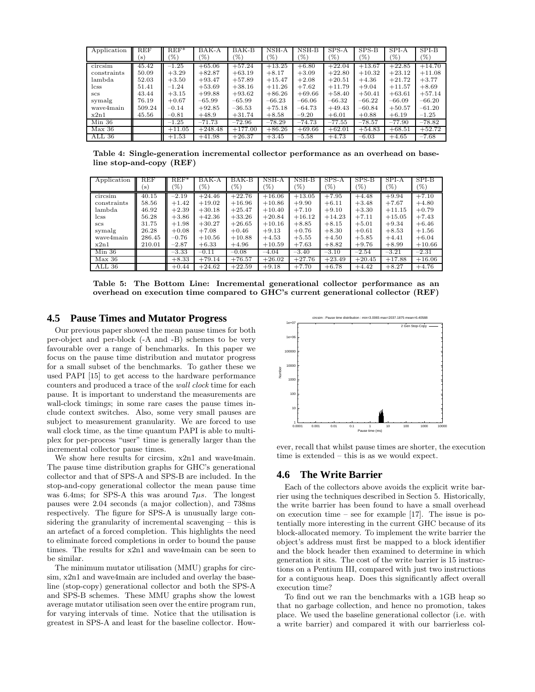| Application | <b>REF</b>     | $REF*$          | BAK-A     | BAK-B     | NSH-A    | $NSH-B$  | $SPS-A$  | $SPS-B$  | $SPI-A$  | $SPI-B$  |
|-------------|----------------|-----------------|-----------|-----------|----------|----------|----------|----------|----------|----------|
|             | $(\mathbf{s})$ | $\mathscr{C}_0$ | (%)       | (%)       | (%)      | '%)      | (%)      | $(\%)$   | (%)      | (%)      |
| circsim     | 45.42          | $-1.25$         | $+65.06$  | $+57.24$  | $+13.25$ | $+6.80$  | $+22.04$ | $+13.67$ | $+22.85$ | $+14.70$ |
| constraints | 50.09          | $+3.29$         | $+82.87$  | $+63.19$  | $+8.17$  | $+3.09$  | $+22.80$ | $+10.32$ | $+23.12$ | $+11.08$ |
| lambda      | 52.03          | $+3.50$         | $+93.47$  | $+57.89$  | $+15.47$ | $+2.08$  | $+20.51$ | $+4.36$  | $+21.72$ | $+3.77$  |
| lcss        | 51.41          | $-1.24$         | $+53.69$  | $+38.16$  | $+11.26$ | $+7.62$  | $+11.79$ | $+9.04$  | $+11.57$ | $+8.69$  |
| <b>SCS</b>  | 43.44          | $+3.15$         | $+99.88$  | $+93.62$  | $+86.26$ | $+69.66$ | $+58.40$ | $+50.41$ | $+63.61$ | $+57.14$ |
| symalg      | 76.19          | $+0.67$         | $-65.99$  | $-65.99$  | $-66.23$ | $-66.06$ | $-66.32$ | $-66.22$ | $-66.09$ | $-66.20$ |
| wave4main   | 509.24         | $-0.14$         | $+92.85$  | $-36.53$  | $+75.18$ | $-64.73$ | $+49.43$ | $-60.84$ | $+50.57$ | $-61.20$ |
| x2n1        | 45.56          | $-0.81$         | $+48.9$   | $+31.74$  | $+8.58$  | $-9.20$  | $+6.01$  | $+0.88$  | $+6.19$  | $-1.25$  |
| Min 36      |                | $-1.25$         | $-71.73$  | $-72.96$  | $-78.29$ | $-74.73$ | $-77.55$ | $-78.57$ | $-77.90$ | $-78.82$ |
| Max 36      |                | $+11.05$        | $+248.48$ | $+177.00$ | $+86.26$ | $+69.66$ | $+62.01$ | $+54.83$ | $+68.51$ | $+52.72$ |
| ALL 36      |                | $+1.53$         | $+41.98$  | $+26.37$  | $+3.45$  | $-5.58$  | $+4.73$  | $-6.03$  | $+4.65$  | $-7.68$  |

Table 4: Single-generation incremental collector performance as an overhead on baseline stop-and-copy (REF)

| Application | REF            | $REF^*$ | BAK-A    | BAK-B    | $NSH-A$  | $NSH-B$  | $SPS-A$  | $SPS-B$  | SPI-A    | $SPI-B$         |
|-------------|----------------|---------|----------|----------|----------|----------|----------|----------|----------|-----------------|
|             | $(\mathbf{s})$ | (%)     | (%)      | $(\%)$   | $(\%)$   | $\%$     | $(\%)$   | $\%$     | $(\%)$   | $\mathscr{C}_0$ |
| circsim     | 40.15          | $-2.19$ | $+24.46$ | $+22.76$ | $+16.06$ | $+13.05$ | $+7.95$  | $+4.48$  | $+9.94$  | $+7.10$         |
| constraints | 58.56          | $+1.42$ | $+19.02$ | $+16.96$ | $+10.86$ | $+9.90$  | $+6.11$  | $+3.48$  | $+7.67$  | $+4.80$         |
| lambda      | 46.92          | $+2.39$ | $+30.18$ | $+25.47$ | $+10.40$ | $+7.10$  | $+9.10$  | $+3.30$  | $+11.15$ | $+0.79$         |
| <i>css</i>  | 56.28          | $+3.86$ | $+42.36$ | $+33.26$ | $+20.84$ | $+16.12$ | $+14.23$ | $+7.11$  | $+15.05$ | $+7.43$         |
| SCS         | 31.75          | $+1.98$ | $+30.27$ | $+26.65$ | $+10.16$ | $+8.85$  | $+8.15$  | $+5.01$  | $+9.34$  | $+6.46$         |
| symalg      | 26.28          | $+0.08$ | $+7.08$  | $+0.46$  | $+9.13$  | $+0.76$  | $+8.30$  | $+0.61$  | $+8.53$  | $+1.56$         |
| wave4main   | 286.45         | $-0.76$ | $+10.56$ | $+10.88$ | $+4.53$  | $+5.55$  | $+4.50$  | $+5.85$  | $+4.41$  | $+6.04$         |
| x2n1        | 210.01         | $-2.87$ | $+6.33$  | $+4.96$  | $+10.59$ | $+7.63$  | $+8.82$  | $+9.76$  | $+8.99$  | $+10.66$        |
| $Min\ 36$   |                | $-3.33$ | $-0.11$  | $-0.08$  | $-4.04$  | $-3.40$  | $-3.10$  | $-2.54$  | $-3.21$  | $-2.31$         |
| Max 36      |                | $+8.33$ | $+79.14$ | $+76.57$ | $+26.02$ | $+27.76$ | $+23.49$ | $+20.45$ | $+17.88$ | $+16.06$        |
| ALL 36      |                | $+0.44$ | $+24.62$ | $+22.59$ | $+9.18$  | $+7.70$  | $+6.78$  | $+4.42$  | $+8.27$  | $+4.76$         |

Table 5: The Bottom Line: Incremental generational collector performance as an overhead on execution time compared to GHC's current generational collector (REF)

#### 4.5 **Pause Times and Mutator Progress**

Our previous paper showed the mean pause times for both per-object and per-block (-A and -B) schemes to be very favourable over a range of benchmarks. In this paper we focus on the pause time distribution and mutator progress for a small subset of the benchmarks. To gather these we used PAPI [15] to get access to the hardware performance counters and produced a trace of the wall clock time for each pause. It is important to understand the measurements are wall-clock timings; in some rare cases the pause times include context switches. Also, some very small pauses are subject to measurement granularity. We are forced to use wall clock time, as the time quantum PAPI is able to multiplex for per-process "user" time is generally larger than the incremental collector pause times.

We show here results for circsim,  $x2n1$  and wave4main. The pause time distribution graphs for GHC's generational collector and that of SPS-A and SPS-B are included. In the stop-and-copy generational collector the mean pause time was 6.4ms; for SPS-A this was around  $7\mu s$ . The longest pauses were 2.04 seconds (a major collection), and 738ms respectively. The figure for SPS-A is unusually large considering the granularity of incremental scavenging  $-$  this is an artefact of a forced completion. This highlights the need to eliminate forced completions in order to bound the pause times. The results for x2n1 and wave4main can be seen to be similar.

The minimum mutator utilisation (MMU) graphs for circsim, x2n1 and wave4main are included and overlay the baseline (stop-copy) generational collector and both the SPS-A and SPS-B schemes. These MMU graphs show the lowest average mutator utilisation seen over the entire program run, for varying intervals of time. Notice that the utilisation is greatest in SPS-A and least for the baseline collector. How-



ever, recall that whilst pause times are shorter, the execution time is extended  $-$  this is as we would expect.

### 4.6 The Write Barrier

Each of the collectors above avoids the explicit write barrier using the techniques described in Section 5. Historically, the write barrier has been found to have a small overhead on execution time – see for example [17]. The issue is potentially more interesting in the current GHC because of its block-allocated memory. To implement the write barrier the object's address must first be mapped to a block identifier and the block header then examined to determine in which generation it sits. The cost of the write barrier is 15 instructions on a Pentium III, compared with just two instructions for a contiguous heap. Does this significantly affect overall execution time?

To find out we ran the benchmarks with a 1GB heap so that no garbage collection, and hence no promotion, takes place. We used the baseline generational collector (i.e. with a write barrier) and compared it with our barrierless col-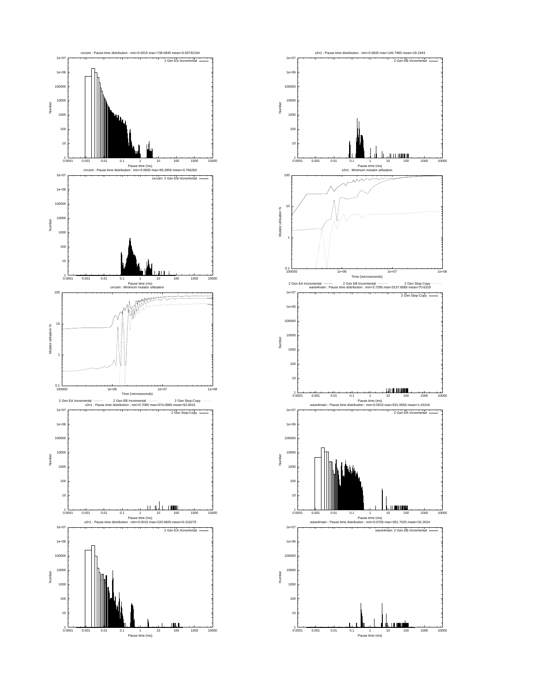

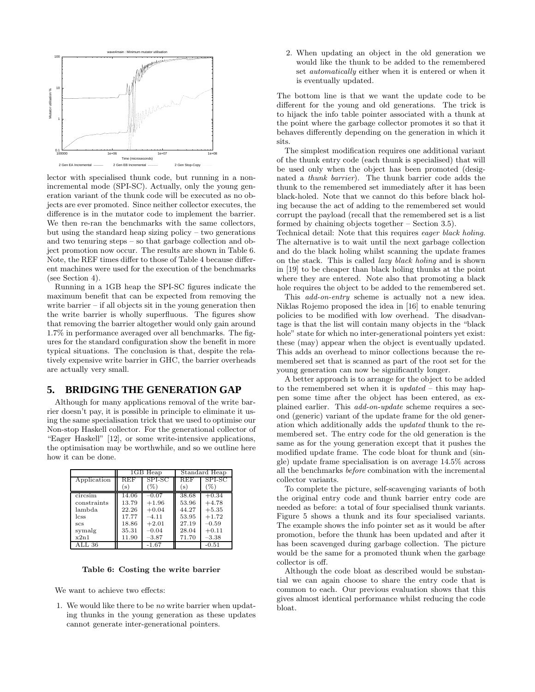

lector with specialised thunk code, but running in a nonincremental mode (SPI-SC). Actually, only the young generation variant of the thunk code will be executed as no objects are ever promoted. Since neither collector executes, the difference is in the mutator code to implement the barrier. We then re-ran the benchmarks with the same collectors, but using the standard heap sizing policy – two generations and two tenuring steps – so that garbage collection and object promotion now occur. The results are shown in Table 6. Note, the REF times differ to those of Table 4 because different machines were used for the execution of the benchmarks (see Section 4).

Running in a 1GB heap the SPI-SC figures indicate the maximum benefit that can be expected from removing the write barrier – if all objects sit in the young generation then the write barrier is wholly superfluous. The figures show that removing the barrier altogether would only gain around 1.7% in performance averaged over all benchmarks. The figures for the standard configuration show the benefit in more typical situations. The conclusion is that, despite the relatively expensive write barrier in GHC, the barrier overheads are actually very small.

# **5. BRIDGING THE GENERATION GAP**

Although for many applications removal of the write barrier doesn't pay, it is possible in principle to eliminate it using the same specialisation trick that we used to optimise our Non-stop Haskell collector. For the generational collector of "Eager Haskell" [12], or some write-intensive applications, the optimisation may be worthwhile, and so we outline here how it can be done.

|             |              | 1GB Heap |            | Standard Heap |
|-------------|--------------|----------|------------|---------------|
| Application | $_{\rm REF}$ | SPI-SC   | <b>REF</b> | SPI-SC        |
|             | (s)          | %        | (s)        | (%)           |
| circsim     | 14.06        | $-0.07$  | 38.68      | $+0.34$       |
| constraints | 13.79        | $+1.96$  | 53.96      | $+4.78$       |
| lambda      | 22.26        | $+0.04$  | 44.27      | $+5.35$       |
| <i>css</i>  | 17.77        | $-4.11$  | 53.95      | $+1.72$       |
| <b>SCS</b>  | 18.86        | $+2.01$  | 27.19      | $-0.59$       |
| symalg      | 35.31        | $-0.04$  | 28.04      | $+0.11$       |
| x2n1        | 11.90        | $-3.87$  | 71.70      | $-3.38$       |
| ALL 36      |              | $-1.67$  |            | $-0.51$       |

Table 6: Costing the write barrier

We want to achieve two effects:

1. We would like there to be no write barrier when updating thunks in the young generation as these updates cannot generate inter-generational pointers.

2. When updating an object in the old generation we would like the thunk to be added to the remembered set automatically either when it is entered or when it is eventually updated.

The bottom line is that we want the update code to be different for the young and old generations. The trick is to hijack the info table pointer associated with a thunk at the point where the garbage collector promotes it so that it behaves differently depending on the generation in which it sits.

The simplest modification requires one additional variant of the thunk entry code (each thunk is specialised) that will be used only when the object has been promoted (designated a thunk barrier). The thunk barrier code adds the thunk to the remembered set immediately after it has been black-holed. Note that we cannot do this before black holing because the act of adding to the remembered set would corrupt the payload (recall that the remembered set is a list formed by chaining objects together – Section 3.5).

Technical detail: Note that this requires eager black holing. The alternative is to wait until the next garbage collection and do the black holing whilst scanning the update frames on the stack. This is called lazy black holing and is shown in [19] to be cheaper than black holing thunks at the point where they are entered. Note also that promoting a black hole requires the object to be added to the remembered set.

This *add-on-entry* scheme is actually not a new idea. Niklas Rojemo proposed the idea in [16] to enable tenuring policies to be modified with low overhead. The disadvantage is that the list will contain many objects in the "black hole" state for which no inter-generational pointers yet exist: these (may) appear when the object is eventually updated. This adds an overhead to minor collections because the remembered set that is scanned as part of the root set for the young generation can now be significantly longer.

A better approach is to arrange for the object to be added to the remembered set when it is  $updated$  – this may happen some time after the object has been entered, as explained earlier. This add-on-update scheme requires a second (generic) variant of the update frame for the old generation which additionally adds the updated thunk to the remembered set. The entry code for the old generation is the same as for the young generation except that it pushes the modified update frame. The code bloat for thunk and (single) update frame specialisation is on average 14.5% across all the benchmarks before combination with the incremental collector variants.

To complete the picture, self-scavenging variants of both the original entry code and thunk barrier entry code are needed as before: a total of four specialised thunk variants. Figure 5 shows a thunk and its four specialised variants. The example shows the info pointer set as it would be after promotion, before the thunk has been updated and after it has been scavenged during garbage collection. The picture would be the same for a promoted thunk when the garbage collector is off.

Although the code bloat as described would be substantial we can again choose to share the entry code that is common to each. Our previous evaluation shows that this gives almost identical performance whilst reducing the code bloat.